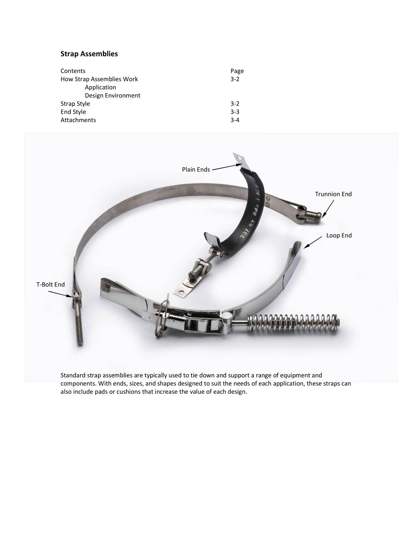# **Strap Assemblies**

| Contents                  | Page    |
|---------------------------|---------|
| How Strap Assemblies Work | $3 - 2$ |
| Application               |         |
| Design Environment        |         |
| Strap Style               | $3-2$   |
| End Style                 | $3-3$   |
| Attachments               | $3 - 4$ |



Standard strap assemblies are typically used to tie down and support a range of equipment and components. With ends, sizes, and shapes designed to suit the needs of each application, these straps can also include pads or cushions that increase the value of each design.